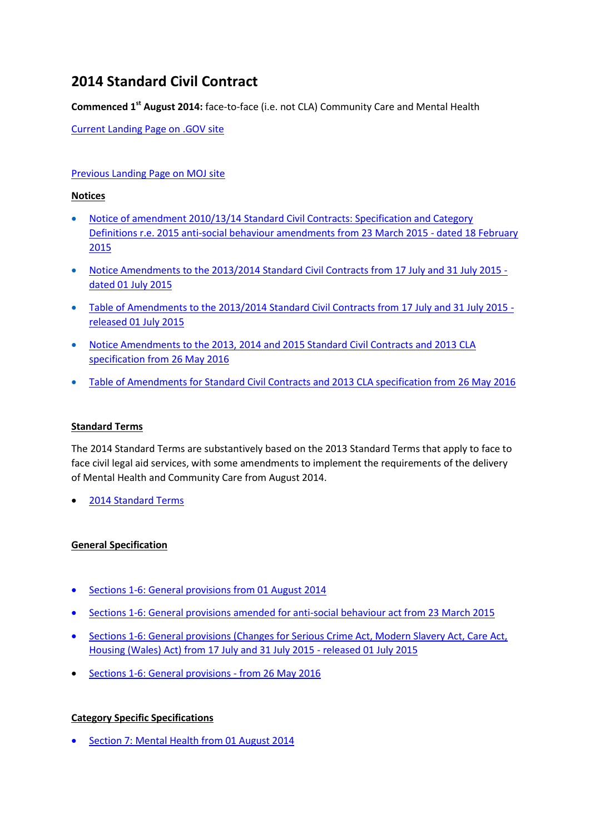# **2014 Standard Civil Contract**

**Commenced 1st August 2014:** face-to-face (i.e. not CLA) Community Care and Mental Health

[Current Landing Page on .GOV site](https://www.gov.uk/government/publications/standard-civil-contract-2014)

## [Previous Landing Page on MOJ site](http://webarchive.nationalarchives.gov.uk/20140713080754/http:/www.justice.gov.uk/legal-aid/contracts-and-tenders/2014-standard-civil-contract)

#### **Notices**

- [Notice of amendment 2010/13/14 Standard Civil Contracts: Specification and Category](http://webarchive.nationalarchives.gov.uk/20150401041643/https:/www.gov.uk/government/uploads/system/uploads/attachment_data/file/406153/standard-civil-contract-amendment-notice.pdf)  [Definitions r.e. 2015 anti-social behaviour amendments from 23 March 2015 -](http://webarchive.nationalarchives.gov.uk/20150401041643/https:/www.gov.uk/government/uploads/system/uploads/attachment_data/file/406153/standard-civil-contract-amendment-notice.pdf) dated 18 February [2015](http://webarchive.nationalarchives.gov.uk/20150401041643/https:/www.gov.uk/government/uploads/system/uploads/attachment_data/file/406153/standard-civil-contract-amendment-notice.pdf)
- [Notice Amendments to the 2013/2014 Standard Civil Contracts from 17 July and 31 July 2015](http://webarchive.nationalarchives.gov.uk/20151205011817/https:/www.gov.uk/government/uploads/system/uploads/attachment_data/file/441884/contract-notice-of-amendments.pdf)  [dated 01 July 2015](http://webarchive.nationalarchives.gov.uk/20151205011817/https:/www.gov.uk/government/uploads/system/uploads/attachment_data/file/441884/contract-notice-of-amendments.pdf)
- Table of Amendments [to the 2013/2014 Standard Civil Contracts from 17 July and 31 July 2015](http://webarchive.nationalarchives.gov.uk/20151205011817/https:/www.gov.uk/government/uploads/system/uploads/attachment_data/file/441881/table-of-amendments.pdf)  [released 01 July 2015](http://webarchive.nationalarchives.gov.uk/20151205011817/https:/www.gov.uk/government/uploads/system/uploads/attachment_data/file/441881/table-of-amendments.pdf)
- [Notice Amendments to the 2013, 2014 and 2015 Standard Civil Contracts and 2013 CLA](http://webarchive.nationalarchives.gov.uk/20161126102635/https:/www.gov.uk/government/uploads/system/uploads/attachment_data/file/526399/contract-amendment-notification.pdf)  [specification from 26 May 2016](http://webarchive.nationalarchives.gov.uk/20161126102635/https:/www.gov.uk/government/uploads/system/uploads/attachment_data/file/526399/contract-amendment-notification.pdf)
- [Table of Amendments for Standard Civil Contracts and 2013 CLA specification from 26 May 2016](http://webarchive.nationalarchives.gov.uk/20160609012146/https:/www.gov.uk/government/uploads/system/uploads/attachment_data/file/526401/summary-of-amendments-to-2013-2014-2015-standard-civil-contracts.pdf)

### **Standard Terms**

The 2014 Standard Terms are substantively based on the 2013 Standard Terms that apply to face to face civil legal aid services, with some amendments to implement the requirements of the delivery of Mental Health and Community Care from August 2014.

2014 [Standard Terms](http://webarchive.nationalarchives.gov.uk/20140713080754/http:/www.justice.gov.uk/downloads/legal-aid/tenders/2014-standard-terms.pdf)

### **General Specification**

- [Sections 1-6: General provisions from 01 August 2014](http://webarchive.nationalarchives.gov.uk/20140713080754/http:/www.justice.gov.uk/downloads/legal-aid/tenders/2014-general-specification.pdf)
- [Sections 1-6: General provisions amended for anti-social behaviour act from 23 March 2015](http://webarchive.nationalarchives.gov.uk/20150401041632/https:/www.gov.uk/government/uploads/system/uploads/attachment_data/file/406172/amended-general-specification-2014-standard-civil-contract.pdf)
- [Sections 1-6: General provisions \(Changes for Serious Crime Act, Modern Slavery Act, Care Act,](http://webarchive.nationalarchives.gov.uk/20150710234152/https:/www.gov.uk/government/uploads/system/uploads/attachment_data/file/441406/2014-standard-civil-contract-specification.pdf)  [Housing \(Wales\) Act\) from 17 July and 31 July 2015 -](http://webarchive.nationalarchives.gov.uk/20150710234152/https:/www.gov.uk/government/uploads/system/uploads/attachment_data/file/441406/2014-standard-civil-contract-specification.pdf) released 01 July 2015
- [Sections 1-6: General provisions -](http://webarchive.nationalarchives.gov.uk/20160609012148/https:/www.gov.uk/government/uploads/system/uploads/attachment_data/file/526411/2014-standard-civil-contract-specification-general-provision-1-6-amen....pdf) from 26 May 2016

### **Category Specific Specifications**

• [Section 7: Mental Health from 01 August 2014](http://webarchive.nationalarchives.gov.uk/20140713080754/http:/www.justice.gov.uk/downloads/legal-aid/tenders/2014-mh-spec.pdf)